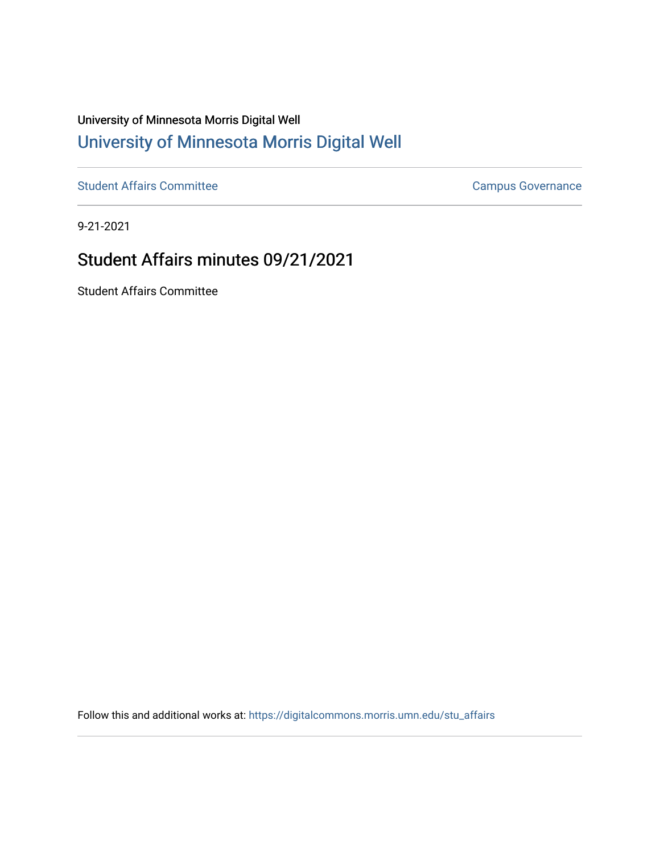## University of Minnesota Morris Digital Well [University of Minnesota Morris Digital Well](https://digitalcommons.morris.umn.edu/)

[Student Affairs Committee](https://digitalcommons.morris.umn.edu/stu_affairs) Campus Governance

9-21-2021

## Student Affairs minutes 09/21/2021

Student Affairs Committee

Follow this and additional works at: [https://digitalcommons.morris.umn.edu/stu\\_affairs](https://digitalcommons.morris.umn.edu/stu_affairs?utm_source=digitalcommons.morris.umn.edu%2Fstu_affairs%2F146&utm_medium=PDF&utm_campaign=PDFCoverPages)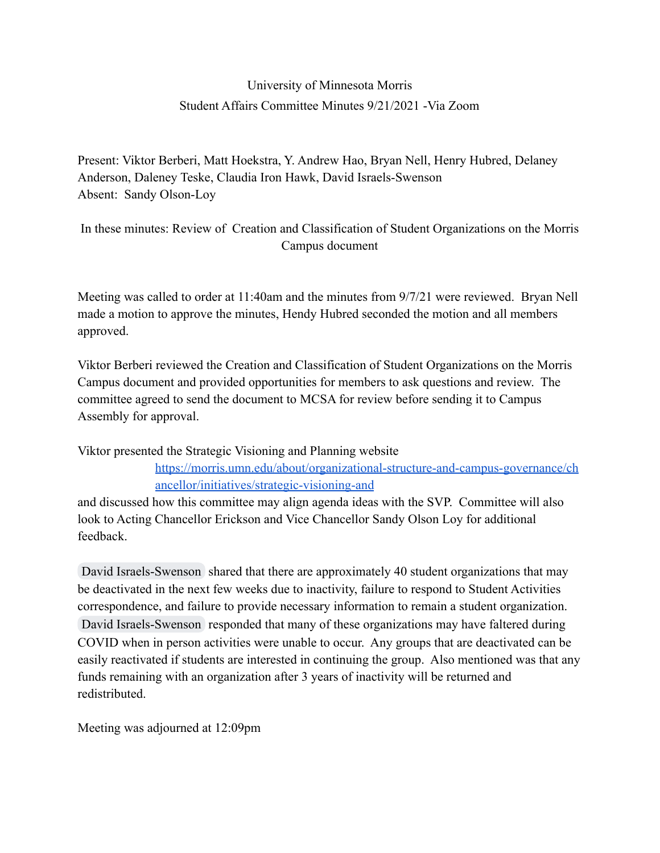## University of Minnesota Morris Student Affairs Committee Minutes 9/21/2021 -Via Zoom

Present: Viktor Berberi, Matt Hoekstra, Y. Andrew Hao, Bryan Nell, Henry Hubred, Delaney Anderson, Daleney Teske, Claudia Iron Hawk, David Israels-Swenson Absent: Sandy Olson-Loy

In these minutes: Review of Creation and Classification of Student Organizations on the Morris Campus document

Meeting was called to order at 11:40am and the minutes from 9/7/21 were reviewed. Bryan Nell made a motion to approve the minutes, Hendy Hubred seconded the motion and all members approved.

Viktor Berberi reviewed the Creation and Classification of Student Organizations on the Morris Campus document and provided opportunities for members to ask questions and review. The committee agreed to send the document to MCSA for review before sending it to Campus Assembly for approval.

Viktor presented the Strategic Visioning and Planning website

[https://morris.umn.edu/about/organizational-structure-and-campus-governance/ch](https://morris.umn.edu/about/organizational-structure-and-campus-governance/chancellor/initiatives/strategic-visioning-and) [ancellor/initiatives/strategic-visioning-and](https://morris.umn.edu/about/organizational-structure-and-campus-governance/chancellor/initiatives/strategic-visioning-and)

and discussed how this committee may align agenda ideas with the SVP. Committee will also look to Acting Chancellor Erickson and Vice Chancellor Sandy Olson Loy for additional feedback.

[David Israels-Swenson](mailto:dswenson@morris.umn.edu) shared that there are approximately 40 student organizations that may be deactivated in the next few weeks due to inactivity, failure to respond to Student Activities correspondence, and failure to provide necessary information to remain a student organization. [David Israels-Swenson](mailto:dswenson@morris.umn.edu) responded that many of these organizations may have faltered during COVID when in person activities were unable to occur. Any groups that are deactivated can be easily reactivated if students are interested in continuing the group. Also mentioned was that any funds remaining with an organization after 3 years of inactivity will be returned and redistributed.

Meeting was adjourned at 12:09pm